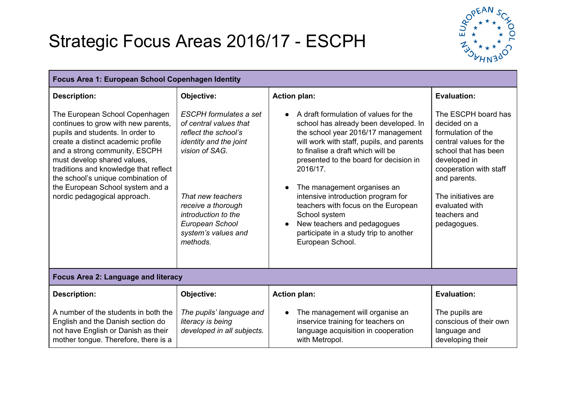## Strategic Focus Areas 2016/17 - ESCPH



| Focus Area 1: European School Copenhagen Identity                                                                                                                                                                                                                                                                                                                  |                                                                                                                                                                                                                                                            |                                                                                                                                                                                                                                                                                                                                                                                                                                                                                        |                                                                                                                                                                                                                                               |  |  |  |
|--------------------------------------------------------------------------------------------------------------------------------------------------------------------------------------------------------------------------------------------------------------------------------------------------------------------------------------------------------------------|------------------------------------------------------------------------------------------------------------------------------------------------------------------------------------------------------------------------------------------------------------|----------------------------------------------------------------------------------------------------------------------------------------------------------------------------------------------------------------------------------------------------------------------------------------------------------------------------------------------------------------------------------------------------------------------------------------------------------------------------------------|-----------------------------------------------------------------------------------------------------------------------------------------------------------------------------------------------------------------------------------------------|--|--|--|
| <b>Description:</b>                                                                                                                                                                                                                                                                                                                                                | Objective:                                                                                                                                                                                                                                                 | <b>Action plan:</b>                                                                                                                                                                                                                                                                                                                                                                                                                                                                    | <b>Evaluation:</b>                                                                                                                                                                                                                            |  |  |  |
| The European School Copenhagen<br>continues to grow with new parents,<br>pupils and students. In order to<br>create a distinct academic profile<br>and a strong community, ESCPH<br>must develop shared values,<br>traditions and knowledge that reflect<br>the school's unique combination of<br>the European School system and a<br>nordic pedagogical approach. | <b>ESCPH</b> formulates a set<br>of central values that<br>reflect the school's<br><i>identity and the joint</i><br>vision of SAG.<br>That new teachers<br>receive a thorough<br>introduction to the<br>European School<br>system's values and<br>methods. | A draft formulation of values for the<br>school has already been developed. In<br>the school year 2016/17 management<br>will work with staff, pupils, and parents<br>to finalise a draft which will be<br>presented to the board for decision in<br>2016/17.<br>The management organises an<br>intensive introduction program for<br>teachers with focus on the European<br>School system<br>New teachers and pedagogues<br>participate in a study trip to another<br>European School. | The ESCPH board has<br>decided on a<br>formulation of the<br>central values for the<br>school that has been<br>developed in<br>cooperation with staff<br>and parents.<br>The initiatives are<br>evaluated with<br>teachers and<br>pedagogues. |  |  |  |
| Focus Area 2: Language and literacy                                                                                                                                                                                                                                                                                                                                |                                                                                                                                                                                                                                                            |                                                                                                                                                                                                                                                                                                                                                                                                                                                                                        |                                                                                                                                                                                                                                               |  |  |  |
| <b>Description:</b>                                                                                                                                                                                                                                                                                                                                                | Objective:                                                                                                                                                                                                                                                 | <b>Action plan:</b>                                                                                                                                                                                                                                                                                                                                                                                                                                                                    | <b>Evaluation:</b>                                                                                                                                                                                                                            |  |  |  |
| A number of the students in both the<br>English and the Danish section do<br>not have English or Danish as their<br>mother tongue. Therefore, there is a                                                                                                                                                                                                           | The pupils' language and<br>literacy is being<br>developed in all subjects.                                                                                                                                                                                | The management will organise an<br>inservice training for teachers on<br>language acquisition in cooperation<br>with Metropol.                                                                                                                                                                                                                                                                                                                                                         | The pupils are<br>conscious of their own<br>language and<br>developing their                                                                                                                                                                  |  |  |  |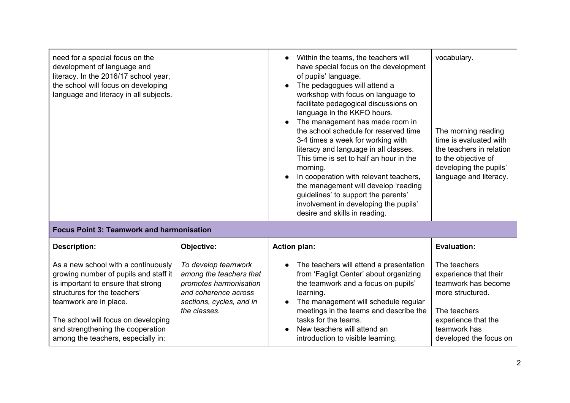| need for a special focus on the<br>development of language and<br>literacy. In the 2016/17 school year,<br>the school will focus on developing<br>language and literacy in all subjects.                                                                                                       |                                                                                                                                              | Within the teams, the teachers will<br>have special focus on the development<br>of pupils' language.<br>The pedagogues will attend a<br>workshop with focus on language to<br>facilitate pedagogical discussions on<br>language in the KKFO hours.<br>The management has made room in<br>the school schedule for reserved time<br>3-4 times a week for working with<br>literacy and language in all classes.<br>This time is set to half an hour in the<br>morning.<br>In cooperation with relevant teachers,<br>the management will develop 'reading<br>guidelines' to support the parents'<br>involvement in developing the pupils'<br>desire and skills in reading. | vocabulary.<br>The morning reading<br>time is evaluated with<br>the teachers in relation<br>to the objective of<br>developing the pupils'<br>language and literacy. |  |  |
|------------------------------------------------------------------------------------------------------------------------------------------------------------------------------------------------------------------------------------------------------------------------------------------------|----------------------------------------------------------------------------------------------------------------------------------------------|------------------------------------------------------------------------------------------------------------------------------------------------------------------------------------------------------------------------------------------------------------------------------------------------------------------------------------------------------------------------------------------------------------------------------------------------------------------------------------------------------------------------------------------------------------------------------------------------------------------------------------------------------------------------|---------------------------------------------------------------------------------------------------------------------------------------------------------------------|--|--|
| <b>Focus Point 3: Teamwork and harmonisation</b>                                                                                                                                                                                                                                               |                                                                                                                                              |                                                                                                                                                                                                                                                                                                                                                                                                                                                                                                                                                                                                                                                                        |                                                                                                                                                                     |  |  |
| <b>Description:</b>                                                                                                                                                                                                                                                                            | Objective:                                                                                                                                   | <b>Action plan:</b>                                                                                                                                                                                                                                                                                                                                                                                                                                                                                                                                                                                                                                                    | <b>Evaluation:</b>                                                                                                                                                  |  |  |
| As a new school with a continuously<br>growing number of pupils and staff it<br>is important to ensure that strong<br>structures for the teachers'<br>teamwork are in place.<br>The school will focus on developing<br>and strengthening the cooperation<br>among the teachers, especially in: | To develop teamwork<br>among the teachers that<br>promotes harmonisation<br>and coherence across<br>sections, cycles, and in<br>the classes. | The teachers will attend a presentation<br>from 'Fagligt Center' about organizing<br>the teamwork and a focus on pupils'<br>learning.<br>The management will schedule regular<br>meetings in the teams and describe the<br>tasks for the teams.<br>New teachers will attend an<br>introduction to visible learning.                                                                                                                                                                                                                                                                                                                                                    | The teachers<br>experience that their<br>teamwork has become<br>more structured.<br>The teachers<br>experience that the<br>teamwork has<br>developed the focus on   |  |  |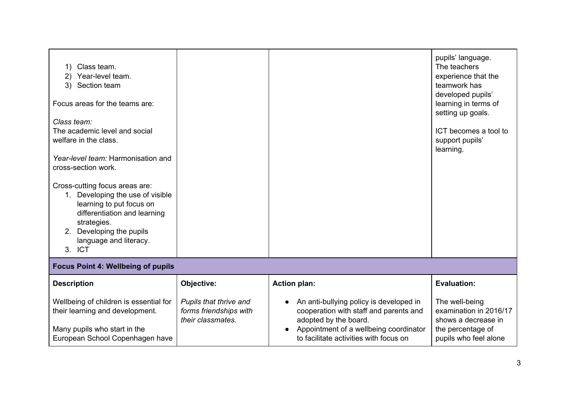| Class team.<br>1)<br>2) Year-level team.<br>3) Section team<br>Focus areas for the teams are:                                                                                                                                |                                                                       |                                                                                                                                                                                                | pupils' language.<br>The teachers<br>experience that the<br>teamwork has<br>developed pupils'<br>learning in terms of<br>setting up goals. |  |  |
|------------------------------------------------------------------------------------------------------------------------------------------------------------------------------------------------------------------------------|-----------------------------------------------------------------------|------------------------------------------------------------------------------------------------------------------------------------------------------------------------------------------------|--------------------------------------------------------------------------------------------------------------------------------------------|--|--|
| Class team:<br>The academic level and social<br>welfare in the class.                                                                                                                                                        |                                                                       |                                                                                                                                                                                                | ICT becomes a tool to<br>support pupils'<br>learning.                                                                                      |  |  |
| Year-level team: Harmonisation and<br>cross-section work.                                                                                                                                                                    |                                                                       |                                                                                                                                                                                                |                                                                                                                                            |  |  |
| Cross-cutting focus areas are:<br>Developing the use of visible<br>$1_{\cdot}$<br>learning to put focus on<br>differentiation and learning<br>strategies.<br>Developing the pupils<br>2.<br>language and literacy.<br>3. ICT |                                                                       |                                                                                                                                                                                                |                                                                                                                                            |  |  |
| <b>Focus Point 4: Wellbeing of pupils</b>                                                                                                                                                                                    |                                                                       |                                                                                                                                                                                                |                                                                                                                                            |  |  |
| <b>Description</b>                                                                                                                                                                                                           | Objective:                                                            | <b>Action plan:</b>                                                                                                                                                                            | <b>Evaluation:</b>                                                                                                                         |  |  |
| Wellbeing of children is essential for<br>their learning and development.<br>Many pupils who start in the<br>European School Copenhagen have                                                                                 | Pupils that thrive and<br>forms friendships with<br>their classmates. | An anti-bullying policy is developed in<br>cooperation with staff and parents and<br>adopted by the board.<br>Appointment of a wellbeing coordinator<br>to facilitate activities with focus on | The well-being<br>examination in 2016/17<br>shows a decrease in<br>the percentage of<br>pupils who feel alone                              |  |  |